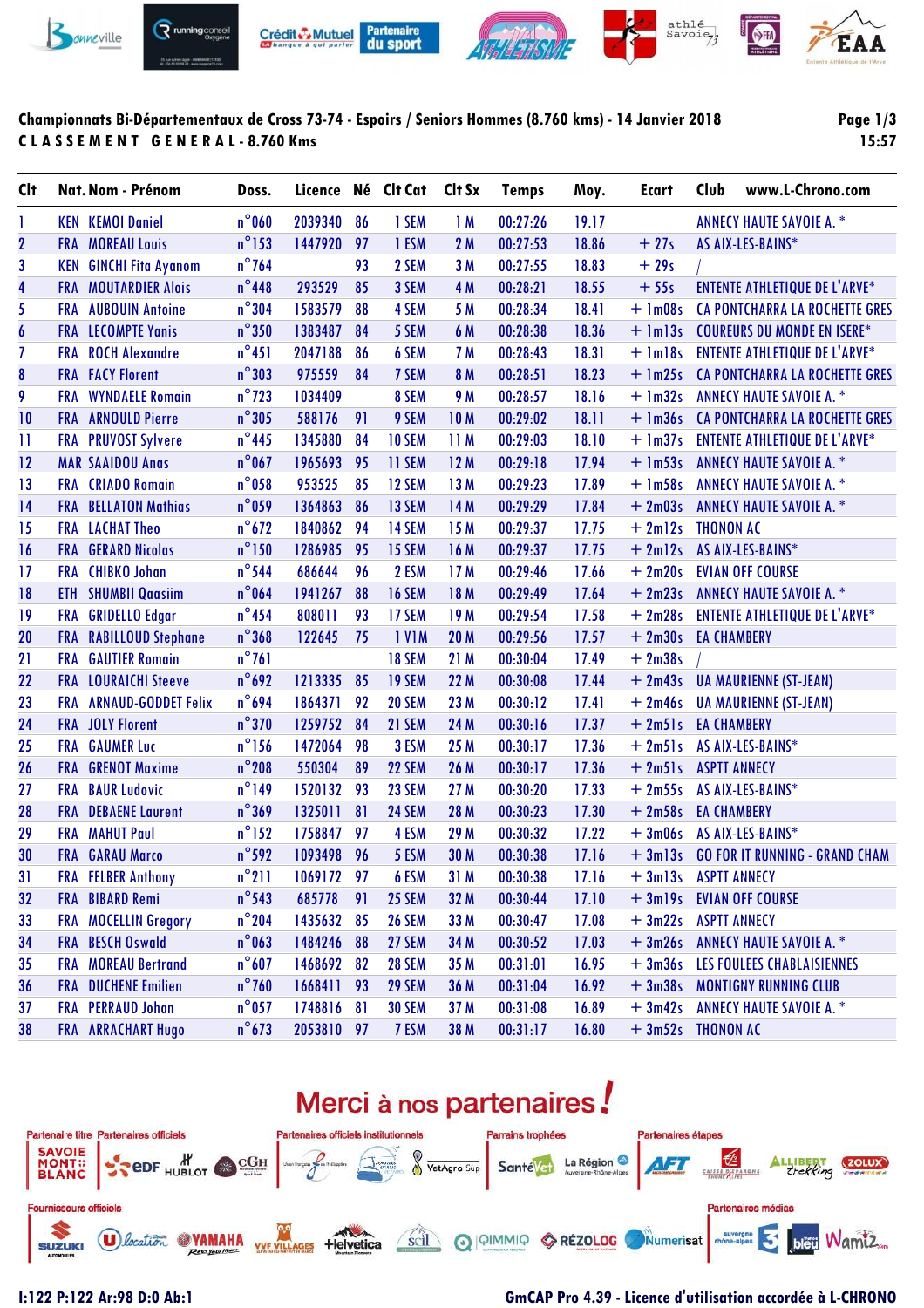

### **Championnats Bi-Départementaux de Cross 73-74 - Espoirs / Seniors Hommes (8.760 kms) - 14 Janvier 2018 C L A S S E M E N T G E N E R A L - 8.760 Kms**

**Page 1/3 15:57**

| <b>Clt</b>       |            | Nat. Nom - Prénom             | Doss.           | Licence Né Clt Cat |    |               | Clt Sx          | <b>Temps</b> | Moy.  | Ecart                | Club               | www.L-Chrono.com                       |
|------------------|------------|-------------------------------|-----------------|--------------------|----|---------------|-----------------|--------------|-------|----------------------|--------------------|----------------------------------------|
| 1                |            | <b>KEN KEMOI Daniel</b>       | $n^{\circ}$ 060 | 2039340            | 86 | 1 SEM         | 1M              | 00:27:26     | 19.17 |                      |                    | <b>ANNECY HAUTE SAVOIE A. *</b>        |
| $\mathbf{2}$     |            | <b>FRA MOREAU Louis</b>       | $n^{\circ}$ 153 | 1447920            | 97 | 1 ESM         | 2M              | 00:27:53     | 18.86 | $+27s$               |                    | AS AIX-LES-BAINS*                      |
| 3                |            | <b>KEN GINCHI Fita Ayanom</b> | $n^{\circ}$ 764 |                    | 93 | 2 SEM         | 3M              | 00:27:55     | 18.83 | $+29s$               |                    |                                        |
| 4                |            | <b>FRA MOUTARDIER Alois</b>   | $n^{\circ}$ 448 | 293529             | 85 | 3 SEM         | 4 M             | 00:28:21     | 18.55 | $+55s$               |                    | <b>ENTENTE ATHLETIQUE DE L'ARVE*</b>   |
| 5                |            | <b>FRA</b> AUBOUIN Antoine    | $n^{\circ}304$  | 1583579            | 88 | 4 SEM         | 5 M             | 00:28:34     | 18.41 | $+$ 1m08s            |                    | <b>CA PONTCHARRA LA ROCHETTE GRES</b>  |
| $\boldsymbol{6}$ |            | <b>FRA LECOMPTE Yanis</b>     | $n^{\circ}350$  | 1383487            | 84 | 5 SEM         | 6 M             | 00:28:38     | 18.36 | $+$ $lm13s$          |                    | <b>COUREURS DU MONDE EN ISERE*</b>     |
| $\overline{1}$   |            | FRA ROCH Alexandre            | $n^{\circ}451$  | 2047188            | 86 | 6 SEM         | 7 M             | 00:28:43     | 18.31 |                      |                    | + 1m18s ENTENTE ATHLETIQUE DE L'ARVE*  |
| ${\bf 8}$        |            | <b>FRA</b> FACY Florent       | $n^{\circ}303$  | 975559             | 84 | 7 SEM         | 8 M             | 00:28:51     | 18.23 | $+$ 1m25s            |                    | <b>CA PONTCHARRA LA ROCHETTE GRES</b>  |
| 9                | <b>FRA</b> | <b>WYNDAELE Romain</b>        | $n^{\circ}$ 723 | 1034409            |    | 8 SEM         | <b>9 M</b>      | 00:28:57     | 18.16 | $+ \ln 32s$          |                    | <b>ANNECY HAUTE SAVOIE A. *</b>        |
| 10               |            | <b>FRA</b> ARNOULD Pierre     | $n^{\circ}305$  | 588176             | 91 | 9 SEM         | 10 <sub>M</sub> | 00:29:02     | 18.11 |                      |                    | + 1m36s CA PONTCHARRA LA ROCHETTE GRES |
| $\mathbf{1}$     |            | FRA PRUVOST Sylvere           | $n^{\circ}$ 445 | 1345880            | 84 | 10 SEM        | 11 M            | 00:29:03     | 18.10 | $+$ 1m37s            |                    | <b>ENTENTE ATHLETIQUE DE L'ARVE*</b>   |
| 12               |            | <b>MAR SAAIDOU Anas</b>       | $n^{\circ}$ 067 | 1965693            | 95 | 11 SEM        | 12M             | 00:29:18     | 17.94 | $+$ 1m53s            |                    | <b>ANNECY HAUTE SAVOIE A. *</b>        |
| 13               |            | <b>FRA</b> CRIADO Romain      | $n^{\circ}$ 058 | 953525             | 85 | 12 SEM        | 13 M            | 00:29:23     | 17.89 | $+$ 1m58s            |                    | <b>ANNECY HAUTE SAVOIE A. *</b>        |
| 14               |            | <b>FRA BELLATON Mathias</b>   | $n^{\circ}$ 059 | 1364863            | 86 | 13 SEM        | 14 M            | 00:29:29     | 17.84 | $+2m03s$             |                    | <b>ANNECY HAUTE SAVOIE A. *</b>        |
| 15               |            | <b>FRA</b> LACHAT Theo        | $n^{\circ}672$  | 1840862            | 94 | 14 SEM        | 15 M            | 00:29:37     | 17.75 | $+2ml2s$             | <b>THONON AC</b>   |                                        |
| 16               |            | <b>FRA GERARD</b> Nicolas     | $n^{\circ}$ 150 | 1286985            | 95 | 15 SEM        | 16 M            | 00:29:37     | 17.75 | $+2m12s$             |                    | AS AIX-LES-BAINS*                      |
| 17               |            | <b>FRA</b> CHIBKO Johan       | $n^{\circ}$ 544 | 686644             | 96 | 2 ESM         | 17 M            | 00:29:46     | 17.66 | $+2m20s$             |                    | <b>EVIAN OFF COURSE</b>                |
| 18               |            | <b>ETH</b> SHUMBII Qaasiim    | $n^{\circ}$ 064 | 1941267            | 88 | 16 SEM        | 18 M            | 00:29:49     | 17.64 | $+2m23s$             |                    | <b>ANNECY HAUTE SAVOIE A. *</b>        |
| 19               |            | FRA GRIDELLO Edgar            | $n^{\circ}$ 454 | 808011             | 93 | 17 SEM        | 19 M            | 00:29:54     | 17.58 | $+2m28s$             |                    | <b>ENTENTE ATHLETIQUE DE L'ARVE*</b>   |
| 20               |            | FRA RABILLOUD Stephane        | $n^{\circ}$ 368 | 122645             | 75 | <b>IVIM</b>   | 20 M            | 00:29:56     | 17.57 | $+2m30s$             | <b>EA CHAMBERY</b> |                                        |
| 21               | <b>FRA</b> | <b>GAUTIER Romain</b>         | $n^{\circ}761$  |                    |    | <b>18 SEM</b> | 21 M            | 00:30:04     | 17.49 | $+2m38s$             |                    |                                        |
| 22               |            | <b>FRA</b> LOURAICHI Steeve   | $n^{\circ}$ 692 | 1213335            | 85 | 19 SEM        | 22 M            | 00:30:08     | 17.44 |                      |                    | + 2m43s UA MAURIENNE (ST-JEAN)         |
| 23               |            | FRA ARNAUD-GODDET Felix       | $n^{\circ}$ 694 | 1864371            | 92 | 20 SEM        | 23 M            | 00:30:12     | 17.41 | $+2m46s$             |                    | <b>UA MAURIENNE (ST-JEAN)</b>          |
| 24               |            | <b>FRA</b> JOLY Florent       | $n^{\circ}370$  | 1259752            | 84 | 21 SEM        | 24 M            | 00:30:16     | 17.37 | + 2m51s EA CHAMBERY  |                    |                                        |
| 25               | <b>FRA</b> | <b>GAUMER Luc</b>             | $n^{\circ}$ 156 | 1472064            | 98 | 3 ESM         | 25 M            | 00:30:17     | 17.36 | $+2m51s$             |                    | AS AIX-LES-BAINS*                      |
| 26               |            | <b>FRA</b> GRENOT Maxime      | $n^{\circ}$ 208 | 550304             | 89 | 22 SEM        | 26 M            | 00:30:17     | 17.36 | $+2m51s$             |                    | <b>ASPTT ANNECY</b>                    |
| 27               |            | <b>FRA BAUR Ludovic</b>       | $n^{\circ}$ 149 | 1520132            | 93 | 23 SEM        | 27 M            | 00:30:20     | 17.33 | $+2m55s$             |                    | AS AIX-LES-BAINS*                      |
| 28               |            | <b>FRA</b> DEBAENE Laurent    | $n^{\circ}369$  | 1325011            | 81 | 24 SEM        | 28 M            | 00:30:23     | 17.30 | $+2m58s$             | <b>EA CHAMBERY</b> |                                        |
| 29               |            | <b>FRA MAHUT Paul</b>         | $n^{\circ}$ 152 | 1758847            | 97 | 4 ESM         | 29 M            | 00:30:32     | 17.22 | $+3m06s$             |                    | AS AIX-LES-BAINS*                      |
| 30               |            | <b>FRA</b> GARAU Marco        | $n^{\circ}$ 592 | 1093498            | 96 | 5 ESM         | 30 M            | 00:30:38     | 17.16 |                      |                    | + 3m13s GO FOR IT RUNNING - GRAND CHAM |
| 31               |            | <b>FRA</b> FELBER Anthony     | $n^{\circ}$ 211 | 1069172            | 97 | 6 ESM         | 31 M            | 00:30:38     | 17.16 | + 3m13s ASPTT ANNECY |                    |                                        |
| 32               |            | FRA BIBARD Remi               | $n^{\circ}$ 543 | 685778             | 91 | <b>25 SEM</b> | 32 M            | 00:30:44     | 17.10 |                      |                    | + 3m19s EVIAN OFF COURSE               |
| 33               |            | FRA MOCELLIN Gregory          | $n^{\circ}$ 204 | 1435632            | 85 | <b>26 SEM</b> | 33 M            | 00:30:47     | 17.08 | + 3m22s ASPTT ANNECY |                    |                                        |
| 34               |            | FRA BESCH Oswald              | $n^{\circ}$ 063 | 1484246            | 88 | 27 SEM        | 34 M            | 00:30:52     | 17.03 |                      |                    | + 3m26s ANNECY HAUTE SAVOIE A. *       |
| 35               |            | <b>FRA MOREAU Bertrand</b>    | $n^{\circ}607$  | 1468692            | 82 | <b>28 SEM</b> | 35 M            | 00:31:01     | 16.95 |                      |                    | + 3m36s LES FOULEES CHABLAISIENNES     |
| 36               |            | <b>FRA</b> DUCHENE Emilien    | $n^{\circ}$ 760 | 1668411            | 93 | 29 SEM        | 36 M            | 00:31:04     | 16.92 |                      |                    | + 3m38s MONTIGNY RUNNING CLUB          |
| 37               |            | FRA PERRAUD Johan             | $n^{\circ}$ 057 | 1748816            | 81 | <b>30 SEM</b> | 37 M            | 00:31:08     | 16.89 | $+3m42s$             |                    | <b>ANNECY HAUTE SAVOIE A. *</b>        |
| 38               |            | FRA ARRACHART Hugo            | $n^{\circ}$ 673 | 2053810 97         |    | 7 ESM         | 38 M            | 00:31:17     | 16.80 | $+3m52s$ THONON AC   |                    |                                        |

# Merci à nos partenaires!



### **I:122 P:122 Ar:98 D:0 Ab:1 GmCAP Pro 4.39 - Licence d'utilisation accordée à L-CHRONO**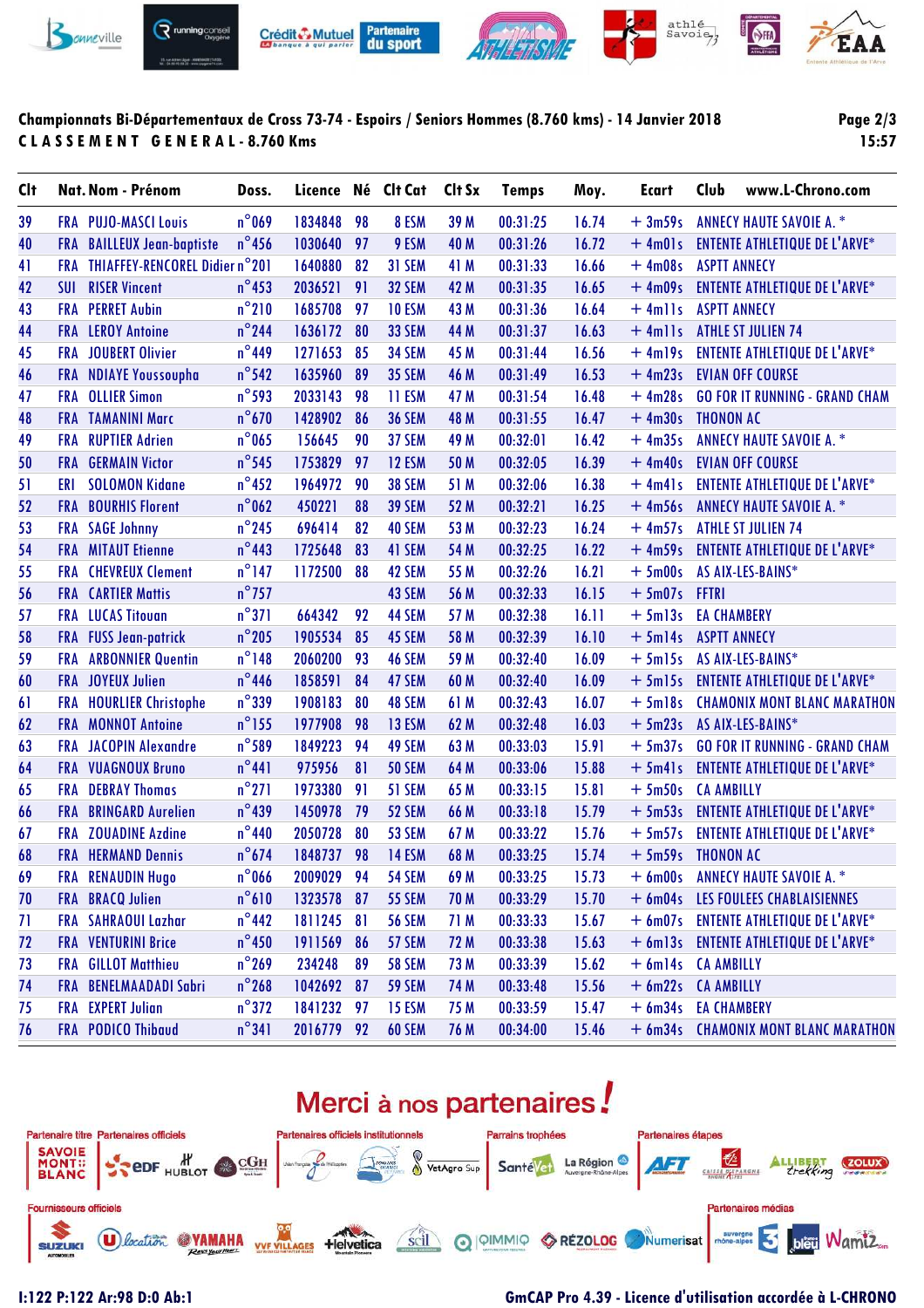

### **Championnats Bi-Départementaux de Cross 73-74 - Espoirs / Seniors Hommes (8.760 kms) - 14 Janvier 2018 C L A S S E M E N T G E N E R A L - 8.760 Kms**

**Page 2/3 15:57**

| <b>C</b> It |            | Nat. Nom - Prénom              | Doss.           | Licence    |    | Né Clt Cat    | Clt Sx | <b>Temps</b> | Moy.  | Ecart               | Club                | www.L-Chrono.com                      |
|-------------|------------|--------------------------------|-----------------|------------|----|---------------|--------|--------------|-------|---------------------|---------------------|---------------------------------------|
| 39          |            | <b>FRA PUJO-MASCI Louis</b>    | $n^{\circ}$ 069 | 1834848    | 98 | 8 ESM         | 39 M   | 00:31:25     | 16.74 | $+3m59s$            |                     | <b>ANNECY HAUTE SAVOIE A. *</b>       |
| 40          | FRA        | <b>BAILLEUX Jean-baptiste</b>  | $n^{\circ}$ 456 | 1030640    | 97 | 9 ESM         | 40 M   | 00:31:26     | 16.72 | $+$ 4m01s           |                     | <b>ENTENTE ATHLETIQUE DE L'ARVE*</b>  |
| 41          | <b>FRA</b> | THIAFFEY-RENCOREL Didier n°201 |                 | 1640880    | 82 | <b>31 SEM</b> | 41 M   | 00:31:33     | 16.66 | $+4m08s$            | <b>ASPTT ANNECY</b> |                                       |
| 42          | SUI        | <b>RISER Vincent</b>           | $n^{\circ}$ 453 | 2036521    | 91 | <b>32 SEM</b> | 42 M   | 00:31:35     | 16.65 | $+4m09s$            |                     | <b>ENTENTE ATHLETIQUE DE L'ARVE*</b>  |
| 43          | <b>FRA</b> | <b>PERRET Aubin</b>            | $n^{\circ}$ 210 | 1685708    | 97 | <b>10 ESM</b> | 43 M   | 00:31:36     | 16.64 | $+$ 4mlls           | <b>ASPTT ANNECY</b> |                                       |
| 44          |            | <b>FRA</b> LEROY Antoine       | $n^{\circ}$ 244 | 1636172    | 80 | <b>33 SEM</b> | 44 M   | 00:31:37     | 16.63 | $+$ 4mlls           |                     | <b>ATHLE ST JULIEN 74</b>             |
| 45          | <b>FRA</b> | <b>JOUBERT Olivier</b>         | $n^{\circ}$ 449 | 1271653    | 85 | <b>34 SEM</b> | 45 M   | 00:31:44     | 16.56 | $+4m19s$            |                     | <b>ENTENTE ATHLETIQUE DE L'ARVE*</b>  |
| 46          | <b>FRA</b> | <b>NDIAYE Youssoupha</b>       | $n^{\circ}$ 542 | 1635960    | 89 | <b>35 SEM</b> | 46 M   | 00:31:49     | 16.53 | $+4m23s$            |                     | <b>EVIAN OFF COURSE</b>               |
| 47          | <b>FRA</b> | <b>OLLIER Simon</b>            | $n^{\circ}$ 593 | 2033143    | 98 | 11 ESM        | 47 M   | 00:31:54     | 16.48 | $+4m28s$            |                     | <b>GO FOR IT RUNNING - GRAND CHAM</b> |
| 48          |            | <b>FRA TAMANINI Marc</b>       | $n^{\circ}$ 670 | 1428902    | 86 | <b>36 SEM</b> | 48 M   | 00:31:55     | 16.47 | $+4m30s$            | <b>THONON AC</b>    |                                       |
| 49          | <b>FRA</b> | <b>RUPTIER Adrien</b>          | $n^{\circ}$ 065 | 156645     | 90 | 37 SEM        | 49 M   | 00:32:01     | 16.42 | $+4m35s$            |                     | <b>ANNECY HAUTE SAVOIE A. *</b>       |
| 50          | <b>FRA</b> | <b>GERMAIN Victor</b>          | $n^{\circ}$ 545 | 1753829    | 97 | <b>12 ESM</b> | 50 M   | 00:32:05     | 16.39 | $+4m40s$            |                     | <b>EVIAN OFF COURSE</b>               |
| 51          | ERI        | <b>SOLOMON Kidane</b>          | $n^{\circ}$ 452 | 1964972    | 90 | <b>38 SEM</b> | 51 M   | 00:32:06     | 16.38 | $+$ 4m41s           |                     | <b>ENTENTE ATHLETIQUE DE L'ARVE*</b>  |
| 52          | <b>FRA</b> | <b>BOURHIS Florent</b>         | $n^{\circ}$ 062 | 450221     | 88 | <b>39 SEM</b> | 52 M   | 00:32:21     | 16.25 | $+4m56s$            |                     | <b>ANNECY HAUTE SAVOIE A. *</b>       |
| 53          | <b>FRA</b> | <b>SAGE Johnny</b>             | $n^{\circ}$ 245 | 696414     | 82 | <b>40 SEM</b> | 53 M   | 00:32:23     | 16.24 | $+4m57s$            |                     | <b>ATHLE ST JULIEN 74</b>             |
| 54          |            | <b>FRA</b> MITAUT Etienne      | $n^{\circ}$ 443 | 1725648    | 83 | 41 SEM        | 54 M   | 00:32:25     | 16.22 | $+4m59s$            |                     | <b>ENTENTE ATHLETIQUE DE L'ARVE*</b>  |
| 55          | FRA        | <b>CHEVREUX Clement</b>        | $n^{\circ}$ 147 | 1172500    | 88 | 42 SEM        | 55 M   | 00:32:26     | 16.21 | $+5m00s$            |                     | AS AIX-LES-BAINS*                     |
| 56          | <b>FRA</b> | <b>CARTIER Mattis</b>          | $n^{\circ}$ 757 |            |    | 43 SEM        | 56 M   | 00:32:33     | 16.15 | $+5m07s$            | <b>FFTRI</b>        |                                       |
| 57          |            | <b>FRA</b> LUCAS Titouan       | $n^{\circ}371$  | 664342     | 92 | 44 SEM        | 57 M   | 00:32:38     | 16.11 | $+5m13s$            | <b>EA CHAMBERY</b>  |                                       |
| 58          |            | FRA FUSS Jean-patrick          | $n^{\circ}$ 205 | 1905534    | 85 | 45 SEM        | 58 M   | 00:32:39     | 16.10 | $+5m14s$            | <b>ASPTT ANNECY</b> |                                       |
| 59          | <b>FRA</b> | <b>ARBONNIER Quentin</b>       | $n^{\circ}$ 148 | 2060200    | 93 | 46 SEM        | 59 M   | 00:32:40     | 16.09 | $+5m15s$            |                     | AS AIX-LES-BAINS*                     |
| 60          |            | <b>FRA</b> JOYEUX Julien       | $n^{\circ}$ 446 | 1858591    | 84 | 47 SEM        | 60 M   | 00:32:40     | 16.09 | $+5$ m $15s$        |                     | <b>ENTENTE ATHLETIQUE DE L'ARVE*</b>  |
| 61          | <b>FRA</b> | <b>HOURLIER Christophe</b>     | $n^{\circ}$ 339 | 1908183    | 80 | 48 SEM        | 61 M   | 00:32:43     | 16.07 | $+5$ ml8s           |                     | <b>CHAMONIX MONT BLANC MARATHON</b>   |
| 62          | <b>FRA</b> | <b>MONNOT Antoine</b>          | $n^{\circ}$ 155 | 1977908    | 98 | 13 ESM        | 62 M   | 00:32:48     | 16.03 | $+5m23s$            |                     | AS AIX-LES-BAINS*                     |
| 63          | <b>FRA</b> | <b>JACOPIN Alexandre</b>       | $n^{\circ}$ 589 | 1849223    | 94 | 49 SEM        | 63 M   | 00:33:03     | 15.91 | $+5m37s$            |                     | <b>GO FOR IT RUNNING - GRAND CHAM</b> |
| 64          |            | FRA VUAGNOUX Bruno             | $n^{\circ}441$  | 975956     | 81 | <b>50 SEM</b> | 64 M   | 00:33:06     | 15.88 | $+5m41s$            |                     | <b>ENTENTE ATHLETIQUE DE L'ARVE*</b>  |
| 65          | <b>FRA</b> | <b>DEBRAY Thomas</b>           | $n^{\circ}271$  | 1973380    | 91 | 51 SEM        | 65 M   | 00:33:15     | 15.81 | $+5m50s$            | <b>CA AMBILLY</b>   |                                       |
| 66          | <b>FRA</b> | <b>BRINGARD Aurelien</b>       | $n^{\circ}439$  | 1450978    | 79 | 52 SEM        | 66 M   | 00:33:18     | 15.79 | $+5m53s$            |                     | <b>ENTENTE ATHLETIQUE DE L'ARVE*</b>  |
| 67          | <b>FRA</b> | <b>ZOUADINE Azdine</b>         | $n^{\circ}440$  | 2050728    | 80 | 53 SEM        | 67 M   | 00:33:22     | 15.76 | $+5m57s$            |                     | <b>ENTENTE ATHLETIQUE DE L'ARVE*</b>  |
| 68          |            | <b>FRA HERMAND Dennis</b>      | $n^{\circ}674$  | 1848737 98 |    | 14 ESM        | 68 M   | 00:33:25     | 15.74 | + 5m59s THONON AC   |                     |                                       |
| 69          |            | FRA RENAUDIN Hugo              | $n^{\circ}$ 066 | 2009029 94 |    | <b>54 SEM</b> | 69 M   | 00:33:25     | 15.73 |                     |                     | + 6m00s ANNECY HAUTE SAVOIE A. *      |
| 70          |            | <b>FRA BRACQ Julien</b>        | $n^{\circ}610$  | 1323578 87 |    | <b>55 SEM</b> | 70 M   | 00:33:29     | 15.70 | $+6m04s$            |                     | LES FOULEES CHABLAISIENNES            |
| 71          |            | FRA SAHRAOUI Lazhar            | $n^{\circ}$ 442 | 1811245 81 |    | <b>56 SEM</b> | 71 M   | 00:33:33     | 15.67 |                     |                     | + 6m07s ENTENTE ATHLETIQUE DE L'ARVE* |
| 72          |            | <b>FRA VENTURINI Brice</b>     | $n^{\circ}$ 450 | 1911569    | 86 | 57 SEM        | 72 M   | 00:33:38     | 15.63 |                     |                     | + 6m13s ENTENTE ATHLETIQUE DE L'ARVE* |
| 73          | FRA        | <b>GILLOT Matthieu</b>         | $n^{\circ}$ 269 | 234248     | 89 | <b>58 SEM</b> | 73 M   | 00:33:39     | 15.62 | + 6m14s CA AMBILLY  |                     |                                       |
| 74          | <b>FRA</b> | <b>BENELMAADADI Sabri</b>      | $n^{\circ}$ 268 | 1042692 87 |    | <b>59 SEM</b> | 74 M   | 00:33:48     | 15.56 | + 6m22s CA AMBILLY  |                     |                                       |
| 75          |            | <b>FRA EXPERT</b> Julian       | $n^{\circ}372$  | 1841232    | 97 | <b>15 ESM</b> | 75 M   | 00:33:59     | 15.47 | + 6m34s EA CHAMBERY |                     |                                       |
| 76          |            | FRA PODICO Thibaud             | $n^{\circ}341$  | 2016779 92 |    | 60 SEM        | 76 M   | 00:34:00     | 15.46 |                     |                     | + 6m34s CHAMONIX MONT BLANC MARATHON  |
|             |            |                                |                 |            |    |               |        |              |       |                     |                     |                                       |

# Merci à nos partenaires!



### **I:122 P:122 Ar:98 D:0 Ab:1 GmCAP Pro 4.39 - Licence d'utilisation accordée à L-CHRONO**